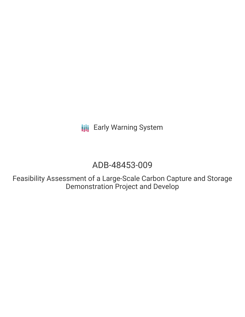**III** Early Warning System

# ADB-48453-009

Feasibility Assessment of a Large-Scale Carbon Capture and Storage Demonstration Project and Develop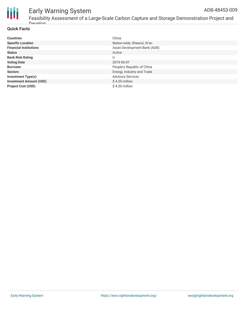

#### Early Warning System Feasibility Assessment of a Large-Scale Carbon Capture and Storage Demonstration Project and **Develop** ADB-48453-009

# **Quick Facts**

| <b>Countries</b>               | China                        |
|--------------------------------|------------------------------|
| <b>Specific Location</b>       | Nation-wide, Shaanxi, Xi'an  |
| <b>Financial Institutions</b>  | Asian Development Bank (ADB) |
| <b>Status</b>                  | Active                       |
| <b>Bank Risk Rating</b>        | U                            |
| <b>Voting Date</b>             | 2019-06-07                   |
| <b>Borrower</b>                | People's Republic of China   |
| <b>Sectors</b>                 | Energy, Industry and Trade   |
| <b>Investment Type(s)</b>      | <b>Advisory Services</b>     |
| <b>Investment Amount (USD)</b> | $$4.30$ million              |
| <b>Project Cost (USD)</b>      | \$4.30 million               |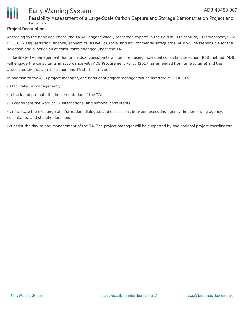

# **Project Description**

Dovolop

According to the bank document, the TA will engage widely respected experts in the field of CO2 capture, CO2-transport, CO2- EOR, CO2 sequestration, finance, economics, as well as social and environmental safeguards. ADB will be responsible for the selection and supervision of consultants engaged under the TA.

To facilitate TA management, four individual consultants will be hired using individual consultant selection (ICS) method. ADB will engage the consultants in accordance with ADB Procurement Policy (2017, as amended from time to time) and the associated project administration and TA staff instructions.

In addition to the ADB project manager, one additional project manager will be hired for MEE DCC to:

- (i) facilitate TA management;
- (ii) track and promote the implementation of the TA;
- (iii) coordinate the work of TA international and national consultants;

(iv) facilitate the exchange of information, dialogue, and discussions between executing agency, implementing agency, consultants, and stakeholders; and

(v) assist the day-to-day management of the TA. The project manager will be supported by two national project coordinators.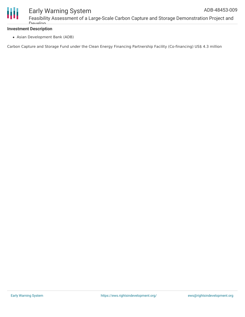

Feasibility Assessment of a Large-Scale Carbon Capture and Storage Demonstration Project and **Develop** 

# **Investment Description**

Asian Development Bank (ADB)

Carbon Capture and Storage Fund under the Clean Energy Financing Partnership Facility (Co-financing) US\$ 4.3 million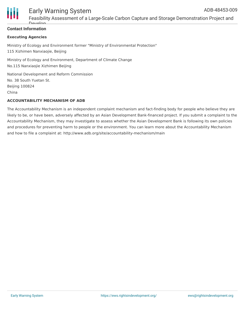

# **Contact Information**

Dovelop

### **Executing Agencies**

Ministry of Ecology and Environment former "Ministry of Environmental Protection" 115 Xizhimen Nanxiaojie, Beijing

Ministry of Ecology and Environment, Department of Climate Change No.115 Nanxiaojie Xizhimen Beijing

National Development and Reform Commission No. 38 South Yuetan St. Beijing 100824 China

# **ACCOUNTABILITY MECHANISM OF ADB**

The Accountability Mechanism is an independent complaint mechanism and fact-finding body for people who believe they are likely to be, or have been, adversely affected by an Asian Development Bank-financed project. If you submit a complaint to the Accountability Mechanism, they may investigate to assess whether the Asian Development Bank is following its own policies and procedures for preventing harm to people or the environment. You can learn more about the Accountability Mechanism and how to file a complaint at: http://www.adb.org/site/accountability-mechanism/main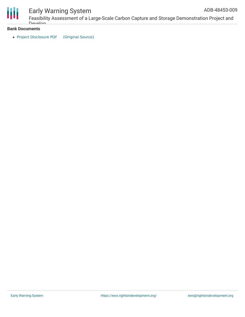

# Early Warning System

# **Bank Documents**

• Project [Disclosure](https://ewsdata.rightsindevelopment.org/files/documents/09/ADB-48453-009.pdf) PDF [\[Original](https://www.adb.org/printpdf/projects/48453-009/main) Source]